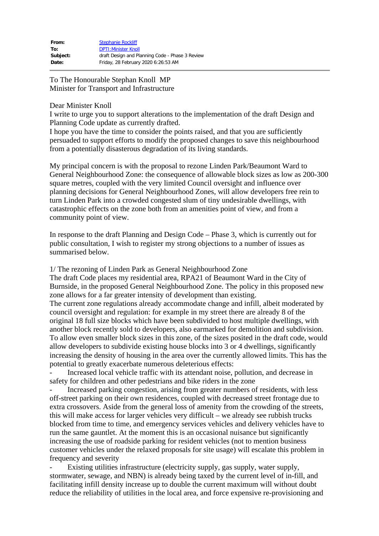| From:    | <b>Stephanie Rockliff</b>                       |
|----------|-------------------------------------------------|
| To:      | <b>DPTI:Minister Knoll</b>                      |
| Subject: | draft Design and Planning Code - Phase 3 Review |
| Date:    | Friday, 28 February 2020 6:26:53 AM             |

To The Honourable Stephan Knoll MP Minister for Transport and Infrastructure

### Dear Minister Knoll

I write to urge you to support alterations to the implementation of the draft Design and Planning Code update as currently drafted.

I hope you have the time to consider the points raised, and that you are sufficiently persuaded to support efforts to modify the proposed changes to save this neighbourhood from a potentially disasterous degradation of its living standards.

My principal concern is with the proposal to rezone Linden Park/Beaumont Ward to General Neighbourhood Zone: the consequence of allowable block sizes as low as 200-300 square metres, coupled with the very limited Council oversight and influence over planning decisions for General Neighbourhood Zones, will allow developers free rein to turn Linden Park into a crowded congested slum of tiny undesirable dwellings, with catastrophic effects on the zone both from an amenities point of view, and from a community point of view.

In response to the draft Planning and Design Code – Phase 3, which is currently out for public consultation, I wish to register my strong objections to a number of issues as summarised below.

1/ The rezoning of Linden Park as General Neighbourhood Zone

The draft Code places my residential area, RPA21 of Beaumont Ward in the City of Burnside, in the proposed General Neighbourhood Zone. The policy in this proposed new zone allows for a far greater intensity of development than existing. The current zone regulations already accommodate change and infill, albeit moderated by council oversight and regulation: for example in my street there are already 8 of the original 18 full size blocks which have been subdivided to host multiple dwellings, with another block recently sold to developers, also earmarked for demolition and subdivision. To allow even smaller block sizes in this zone, of the sizes posited in the draft code, would allow developers to subdivide existing house blocks into 3 or 4 dwellings, significantly increasing the density of housing in the area over the currently allowed limits. This has the potential to greatly exacerbate numerous deleterious effects:

Increased local vehicle traffic with its attendant noise, pollution, and decrease in safety for children and other pedestrians and bike riders in the zone

- Increased parking congestion, arising from greater numbers of residents, with less off-street parking on their own residences, coupled with decreased street frontage due to extra crossovers. Aside from the general loss of amenity from the crowding of the streets, this will make access for larger vehicles very difficult – we already see rubbish trucks blocked from time to time, and emergency services vehicles and delivery vehicles have to run the same gauntlet. At the moment this is an occasional nuisance but significantly increasing the use of roadside parking for resident vehicles (not to mention business customer vehicles under the relaxed proposals for site usage) will escalate this problem in frequency and severity

Existing utilities infrastructure (electricity supply, gas supply, water supply, stormwater, sewage, and NBN) is already being taxed by the current level of in-fill, and facilitating infill density increase up to double the current maximum will without doubt reduce the reliability of utilities in the local area, and force expensive re-provisioning and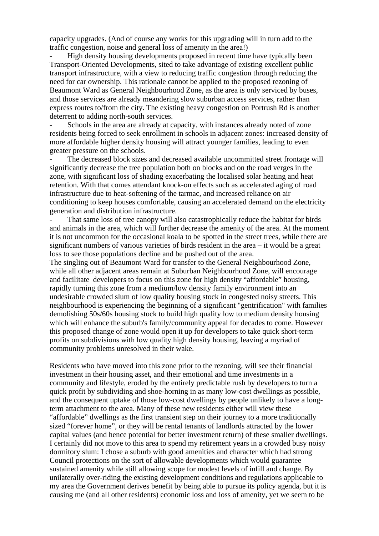capacity upgrades. (And of course any works for this upgrading will in turn add to the traffic congestion, noise and general loss of amenity in the area!)

- High density housing developments proposed in recent time have typically been Transport-Oriented Developments, sited to take advantage of existing excellent public transport infrastructure, with a view to reducing traffic congestion through reducing the need for car ownership. This rationale cannot be applied to the proposed rezoning of Beaumont Ward as General Neighbourhood Zone, as the area is only serviced by buses, and those services are already meandering slow suburban access services, rather than express routes to/from the city. The existing heavy congestion on Portrush Rd is another deterrent to adding north-south services.

Schools in the area are already at capacity, with instances already noted of zone residents being forced to seek enrollment in schools in adjacent zones: increased density of more affordable higher density housing will attract younger families, leading to even greater pressure on the schools.

The decreased block sizes and decreased available uncommitted street frontage will significantly decrease the tree population both on blocks and on the road verges in the zone, with significant loss of shading exacerbating the localised solar heating and heat retention. With that comes attendant knock-on effects such as accelerated aging of road infrastructure due to heat-softening of the tarmac, and increased reliance on air conditioning to keep houses comfortable, causing an accelerated demand on the electricity generation and distribution infrastructure.

That same loss of tree canopy will also catastrophically reduce the habitat for birds and animals in the area, which will further decrease the amenity of the area. At the moment it is not uncommon for the occasional koala to be spotted in the street trees, while there are significant numbers of various varieties of birds resident in the area – it would be a great loss to see those populations decline and be pushed out of the area.

The singling out of Beaumont Ward for transfer to the General Neighbourhood Zone, while all other adjacent areas remain at Suburban Neighbourhood Zone, will encourage and facilitate developers to focus on this zone for high density "affordable" housing, rapidly turning this zone from a medium/low density family environment into an undesirable crowded slum of low quality housing stock in congested noisy streets. This neighbourhood is experiencing the beginning of a significant "gentrification" with families demolishing 50s/60s housing stock to build high quality low to medium density housing which will enhance the suburb's family/community appeal for decades to come. However this proposed change of zone would open it up for developers to take quick short-term profits on subdivisions with low quality high density housing, leaving a myriad of community problems unresolved in their wake.

Residents who have moved into this zone prior to the rezoning, will see their financial investment in their housing asset, and their emotional and time investments in a community and lifestyle, eroded by the entirely predictable rush by developers to turn a quick profit by subdividing and shoe-horning in as many low-cost dwellings as possible, and the consequent uptake of those low-cost dwellings by people unlikely to have a longterm attachment to the area. Many of these new residents either will view these "affordable" dwellings as the first transient step on their journey to a more traditionally sized "forever home", or they will be rental tenants of landlords attracted by the lower capital values (and hence potential for better investment return) of these smaller dwellings. I certainly did not move to this area to spend my retirement years in a crowded busy noisy dormitory slum: I chose a suburb with good amenities and character which had strong Council protections on the sort of allowable developments which would guarantee sustained amenity while still allowing scope for modest levels of infill and change. By unilaterally over-riding the existing development conditions and regulations applicable to my area the Government derives benefit by being able to pursue its policy agenda, but it is causing me (and all other residents) economic loss and loss of amenity, yet we seem to be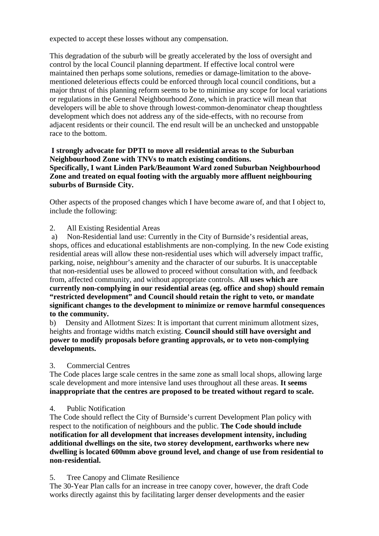expected to accept these losses without any compensation.

This degradation of the suburb will be greatly accelerated by the loss of oversight and control by the local Council planning department. If effective local control were maintained then perhaps some solutions, remedies or damage-limitation to the abovementioned deleterious effects could be enforced through local council conditions, but a major thrust of this planning reform seems to be to minimise any scope for local variations or regulations in the General Neighbourhood Zone, which in practice will mean that developers will be able to shove through lowest-common-denominator cheap thoughtless development which does not address any of the side-effects, with no recourse from adjacent residents or their council. The end result will be an unchecked and unstoppable race to the bottom.

## **I strongly advocate for DPTI to move all residential areas to the Suburban Neighbourhood Zone with TNVs to match existing conditions. Specifically, I want Linden Park/Beaumont Ward zoned Suburban Neighbourhood Zone and treated on equal footing with the arguably more affluent neighbouring suburbs of Burnside City.**

Other aspects of the proposed changes which I have become aware of, and that I object to, include the following:

2. All Existing Residential Areas

a) Non-Residential land use: Currently in the City of Burnside's residential areas, shops, offices and educational establishments are non-complying. In the new Code existing residential areas will allow these non-residential uses which will adversely impact traffic, parking, noise, neighbour's amenity and the character of our suburbs. It is unacceptable that non-residential uses be allowed to proceed without consultation with, and feedback from, affected community, and without appropriate controls. **All uses which are currently non-complying in our residential areas (eg. office and shop) should remain "restricted development" and Council should retain the right to veto, or mandate significant changes to the development to minimize or remove harmful consequences to the community.**

b) Density and Allotment Sizes: It is important that current minimum allotment sizes, heights and frontage widths match existing. **Council should still have oversight and power to modify proposals before granting approvals, or to veto non-complying developments.**

### 3. Commercial Centres

The Code places large scale centres in the same zone as small local shops, allowing large scale development and more intensive land uses throughout all these areas. **It seems inappropriate that the centres are proposed to be treated without regard to scale.**

# 4. Public Notification

The Code should reflect the City of Burnside's current Development Plan policy with respect to the notification of neighbours and the public. **The Code should include notification for all development that increases development intensity, including additional dwellings on the site, two storey development, earthworks where new dwelling is located 600mm above ground level, and change of use from residential to non-residential.**

# 5. Tree Canopy and Climate Resilience

The 30-Year Plan calls for an increase in tree canopy cover, however, the draft Code works directly against this by facilitating larger denser developments and the easier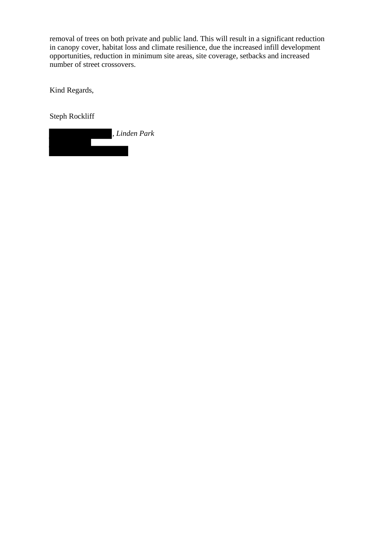removal of trees on both private and public land. This will result in a significant reduction in canopy cover, habitat loss and climate resilience, due the increased infill development opportunities, reduction in minimum site areas, site coverage, setbacks and increased number of street crossovers.

Kind Regards,

Steph Rockliff

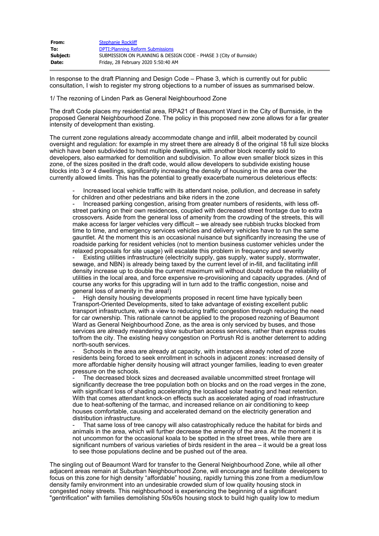| From:    | <b>Stephanie Rockliff</b>                                         |
|----------|-------------------------------------------------------------------|
| To:      | <b>DPTI: Planning Reform Submissions</b>                          |
| Subject: | SUBMISSION ON PLANNING & DESIGN CODE - PHASE 3 (City of Burnside) |
| Date:    | Friday, 28 February 2020 5:50:40 AM                               |

In response to the draft Planning and Design Code – Phase 3, which is currently out for public consultation, I wish to register my strong objections to a number of issues as summarised below.

1/ The rezoning of Linden Park as General Neighbourhood Zone

The draft Code places my residential area, RPA21 of Beaumont Ward in the City of Burnside, in the proposed General Neighbourhood Zone. The policy in this proposed new zone allows for a far greater intensity of development than existing.

The current zone regulations already accommodate change and infill, albeit moderated by council oversight and regulation: for example in my street there are already 8 of the original 18 full size blocks which have been subdivided to host multiple dwellings, with another block recently sold to developers, also earmarked for demolition and subdivision. To allow even smaller block sizes in this zone, of the sizes posited in the draft code, would allow developers to subdivide existing house blocks into 3 or 4 dwellings, significantly increasing the density of housing in the area over the currently allowed limits. This has the potential to greatly exacerbate numerous deleterious effects:

Increased local vehicle traffic with its attendant noise, pollution, and decrease in safety for children and other pedestrians and bike riders in the zone

- Increased parking congestion, arising from greater numbers of residents, with less offstreet parking on their own residences, coupled with decreased street frontage due to extra crossovers. Aside from the general loss of amenity from the crowding of the streets, this will make access for larger vehicles very difficult – we already see rubbish trucks blocked from time to time, and emergency services vehicles and delivery vehicles have to run the same gauntlet. At the moment this is an occasional nuisance but significantly increasing the use of roadside parking for resident vehicles (not to mention business customer vehicles under the relaxed proposals for site usage) will escalate this problem in frequency and severity

Existing utilities infrastructure (electricity supply, gas supply, water supply, stormwater, sewage, and NBN) is already being taxed by the current level of in-fill, and facilitating infill density increase up to double the current maximum will without doubt reduce the reliability of utilities in the local area, and force expensive re-provisioning and capacity upgrades. (And of course any works for this upgrading will in turn add to the traffic congestion, noise and general loss of amenity in the area!)

High density housing developments proposed in recent time have typically been Transport-Oriented Developments, sited to take advantage of existing excellent public transport infrastructure, with a view to reducing traffic congestion through reducing the need for car ownership. This rationale cannot be applied to the proposed rezoning of Beaumont Ward as General Neighbourhood Zone, as the area is only serviced by buses, and those services are already meandering slow suburban access services, rather than express routes to/from the city. The existing heavy congestion on Portrush Rd is another deterrent to adding north-south services.

Schools in the area are already at capacity, with instances already noted of zone residents being forced to seek enrollment in schools in adjacent zones: increased density of more affordable higher density housing will attract younger families, leading to even greater pressure on the schools.

The decreased block sizes and decreased available uncommitted street frontage will significantly decrease the tree population both on blocks and on the road verges in the zone, with significant loss of shading accelerating the localised solar heating and heat retention. With that comes attendant knock-on effects such as accelerated aging of road infrastructure due to heat-softening of the tarmac, and increased reliance on air conditioning to keep houses comfortable, causing and accelerated demand on the electricity generation and distribution infrastructure.

That same loss of tree canopy will also catastrophically reduce the habitat for birds and animals in the area, which will further decrease the amenity of the area. At the moment it is not uncommon for the occasional koala to be spotted in the street trees, while there are significant numbers of various varieties of birds resident in the area – it would be a great loss to see those populations decline and be pushed out of the area.

The singling out of Beaumont Ward for transfer to the General Neighbourhood Zone, while all other adjacent areas remain at Suburban Neighbourhood Zone, will encourage and facilitate developers to focus on this zone for high density "affordable" housing, rapidly turning this zone from a medium/low density family environment into an undesirable crowded slum of low quality housing stock in congested noisy streets. This neighbourhood is experiencing the beginning of a significant "gentrification" with families demolishing 50s/60s housing stock to build high quality low to medium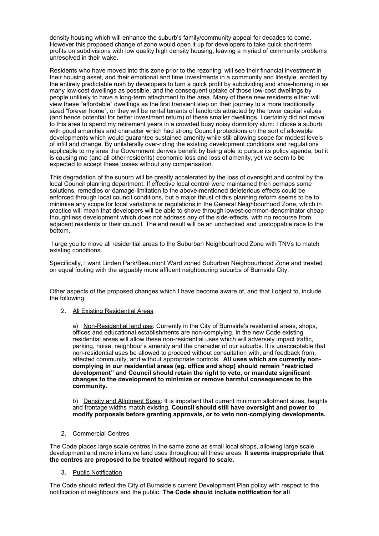density housing which will enhance the suburb's family/community appeal for decades to come. However this proposed change of zone would open it up for developers to take quick short-term profits on subdivisions with low quality high density housing, leaving a myriad of community problems unresolved in their wake.

Residents who have moved into this zone prior to the rezoning, will see their financial investment in their housing asset, and their emotional and time investments in a community and lifestyle, eroded by the entirely predictable rush by developers to turn a quick profit by subdividing and shoe-horning in as many low-cost dwellings as possible, and the consequent uptake of those low-cost dwellings by people unlikely to have a long-term attachment to the area. Many of these new residents either will view these "affordable" dwellings as the first transient step on their journey to a more traditionally sized "forever home", or they will be rental tenants of landlords attracted by the lower capital values (and hence potential for better investment return) of these smaller dwellings. I certainly did not move to this area to spend my retirement years in a crowded busy noisy dormitory slum: I chose a suburb with good amenities and character which had strong Council protections on the sort of allowable developments which would guarantee sustained amenity while still allowing scope for modest levels of infill and change. By unilaterally over-riding the existing development conditions and regulations applicable to my area the Government derives benefit by being able to pursue its policy agenda, but it is causing me (and all other residents) economic loss and loss of amenity, yet we seem to be expected to accept these losses without any compensation.

This degradation of the suburb will be greatly accelerated by the loss of oversight and control by the local Council planning department. If effective local control were maintained then perhaps some solutions, remedies or damage-limitation to the above-mentioned deleterious effects could be enforced through local council conditions, but a major thrust of this planning reform seems to be to minimise any scope for local variations or regulations in the General Neighbourhood Zone, which in practice will mean that developers will be able to shove through lowest-common-denominator cheap thoughtless development which does not address any of the side-effects, with no recourse from adjacent residents or their council. The end result will be an unchecked and unstoppable race to the bottom.

I urge you to move all residential areas to the Suburban Neighbourhood Zone with TNVs to match existing conditions.

Specifically, I want Linden Park/Beaumont Ward zoned Suburban Neighbourhood Zone and treated on equal footing with the arguably more affluent neighbouring suburbs of Burnside City.

Other aspects of the proposed changes which I have become aware of, and that I object to, include the following:

### 2. All Existing Residential Areas

a) Non-Residential land use: Currently in the City of Burnside's residential areas, shops, offices and educational establishments are non-complying. In the new Code existing residential areas will allow these non-residential uses which will adversely impact traffic, parking, noise, neighbour's amenity and the character of our suburbs. It is unacceptable that non-residential uses be allowed to proceed without consultation with, and feedback from, affected community, and without appropriate controls. **All uses which are currently noncomplying in our residential areas (eg. office and shop) should remain "restricted development" and Council should retain the right to veto, or mandate significant changes to the development to minimize or remove harmful consequences to the community.**

b) Density and Allotment Sizes: It is important that current minimum allotment sizes, heights and frontage widths match existing. **Council should still have oversight and power to modify porposals before granting approvals, or to veto non-complying developments.**

#### 2. Commercial Centres

The Code places large scale centres in the same zone as small local shops, allowing large scale development and more intensive land uses throughout all these areas. **It seems inappropriate that the centres are proposed to be treated without regard to scale.**

### 3. Public Notification

The Code should reflect the City of Burnside's current Development Plan policy with respect to the notification of neighbours and the public. **The Code should include notification for all**